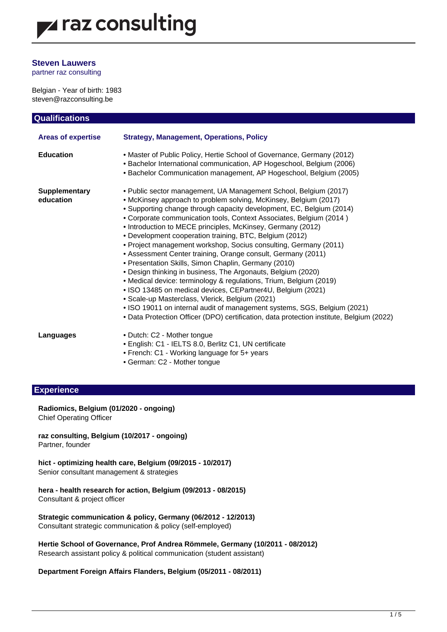### **Steven Lauwers**

partner raz consulting

Belgian - Year of birth: 1983 steven@razconsulting.be

| <b>Qualifications</b>             |                                                                                                                                                                                                                                                                                                                                                                                                                                                                                                                                                                                                                                                                                                                                                                                                                                                                                                                                                                                                                                           |
|-----------------------------------|-------------------------------------------------------------------------------------------------------------------------------------------------------------------------------------------------------------------------------------------------------------------------------------------------------------------------------------------------------------------------------------------------------------------------------------------------------------------------------------------------------------------------------------------------------------------------------------------------------------------------------------------------------------------------------------------------------------------------------------------------------------------------------------------------------------------------------------------------------------------------------------------------------------------------------------------------------------------------------------------------------------------------------------------|
| <b>Areas of expertise</b>         | <b>Strategy, Management, Operations, Policy</b>                                                                                                                                                                                                                                                                                                                                                                                                                                                                                                                                                                                                                                                                                                                                                                                                                                                                                                                                                                                           |
| <b>Education</b>                  | . Master of Public Policy, Hertie School of Governance, Germany (2012)<br>• Bachelor International communication, AP Hogeschool, Belgium (2006)<br>• Bachelor Communication management, AP Hogeschool, Belgium (2005)                                                                                                                                                                                                                                                                                                                                                                                                                                                                                                                                                                                                                                                                                                                                                                                                                     |
| <b>Supplementary</b><br>education | . Public sector management, UA Management School, Belgium (2017)<br>• McKinsey approach to problem solving, McKinsey, Belgium (2017)<br>• Supporting change through capacity development, EC, Belgium (2014)<br>• Corporate communication tools, Context Associates, Belgium (2014)<br>• Introduction to MECE principles, McKinsey, Germany (2012)<br>• Development cooperation training, BTC, Belgium (2012)<br>• Project management workshop, Socius consulting, Germany (2011)<br>• Assessment Center training, Orange consult, Germany (2011)<br>• Presentation Skills, Simon Chaplin, Germany (2010)<br>• Design thinking in business, The Argonauts, Belgium (2020)<br>• Medical device: terminology & regulations, Trium, Belgium (2019)<br>. ISO 13485 on medical devices, CEPartner4U, Belgium (2021)<br>· Scale-up Masterclass, Vlerick, Belgium (2021)<br>. ISO 19011 on internal audit of management systems, SGS, Belgium (2021)<br>• Data Protection Officer (DPO) certification, data protection institute, Belgium (2022) |
| Languages                         | • Dutch: C2 - Mother tongue<br>• English: C1 - IELTS 8.0, Berlitz C1, UN certificate<br>• French: C1 - Working language for 5+ years<br>• German: C2 - Mother tongue                                                                                                                                                                                                                                                                                                                                                                                                                                                                                                                                                                                                                                                                                                                                                                                                                                                                      |

### **Experience**

#### **Radiomics, Belgium (01/2020 - ongoing)** Chief Operating Officer

**raz consulting, Belgium (10/2017 - ongoing)** Partner, founder

**hict - optimizing health care, Belgium (09/2015 - 10/2017)** Senior consultant management & strategies

**hera - health research for action, Belgium (09/2013 - 08/2015)** Consultant & project officer

**Strategic communication & policy, Germany (06/2012 - 12/2013)** Consultant strategic communication & policy (self-employed)

**Hertie School of Governance, Prof Andrea Römmele, Germany (10/2011 - 08/2012)** Research assistant policy & political communication (student assistant)

**Department Foreign Affairs Flanders, Belgium (05/2011 - 08/2011)**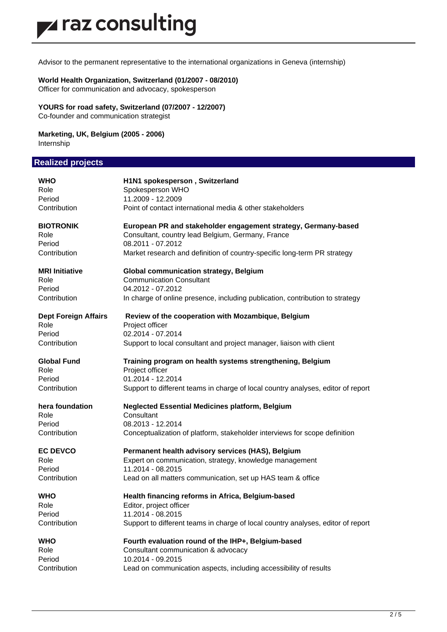Advisor to the permanent representative to the international organizations in Geneva (internship)

### **World Health Organization, Switzerland (01/2007 - 08/2010)**

Officer for communication and advocacy, spokesperson

**YOURS for road safety, Switzerland (07/2007 - 12/2007)**

Co-founder and communication strategist

## **Marketing, UK, Belgium (2005 - 2006)**

Internship

## **Realized projects**

| WHO                         | H1N1 spokesperson, Switzerland                                                   |
|-----------------------------|----------------------------------------------------------------------------------|
| Role                        | Spokesperson WHO                                                                 |
| Period                      | 11.2009 - 12.2009                                                                |
| Contribution                | Point of contact international media & other stakeholders                        |
| <b>BIOTRONIK</b>            | European PR and stakeholder engagement strategy, Germany-based                   |
| Role                        | Consultant, country lead Belgium, Germany, France                                |
| Period                      | 08.2011 - 07.2012                                                                |
| Contribution                | Market research and definition of country-specific long-term PR strategy         |
| <b>MRI Initiative</b>       | <b>Global communication strategy, Belgium</b>                                    |
| Role                        | <b>Communication Consultant</b>                                                  |
| Period                      | 04.2012 - 07.2012                                                                |
| Contribution                | In charge of online presence, including publication, contribution to strategy    |
| <b>Dept Foreign Affairs</b> | Review of the cooperation with Mozambique, Belgium                               |
| Role                        | Project officer                                                                  |
| Period                      | 02.2014 - 07.2014                                                                |
| Contribution                | Support to local consultant and project manager, liaison with client             |
| <b>Global Fund</b>          | Training program on health systems strengthening, Belgium                        |
| Role                        | Project officer                                                                  |
| Period                      | 01.2014 - 12.2014                                                                |
| Contribution                | Support to different teams in charge of local country analyses, editor of report |
| hera foundation             | <b>Neglected Essential Medicines platform, Belgium</b>                           |
| Role                        | Consultant                                                                       |
| Period                      | 08.2013 - 12.2014                                                                |
| Contribution                | Conceptualization of platform, stakeholder interviews for scope definition       |
| <b>EC DEVCO</b>             | Permanent health advisory services (HAS), Belgium                                |
| Role                        | Expert on communication, strategy, knowledge management                          |
| Period                      | 11.2014 - 08.2015                                                                |
| Contribution                | Lead on all matters communication, set up HAS team & office                      |
| <b>WHO</b>                  | Health financing reforms in Africa, Belgium-based                                |
| Role                        | Editor, project officer                                                          |
| Period                      | 11.2014 - 08.2015                                                                |
| Contribution                | Support to different teams in charge of local country analyses, editor of report |
| WHO                         | Fourth evaluation round of the IHP+, Belgium-based                               |
| Role                        | Consultant communication & advocacy                                              |
| Period                      | 10.2014 - 09.2015                                                                |
| Contribution                | Lead on communication aspects, including accessibility of results                |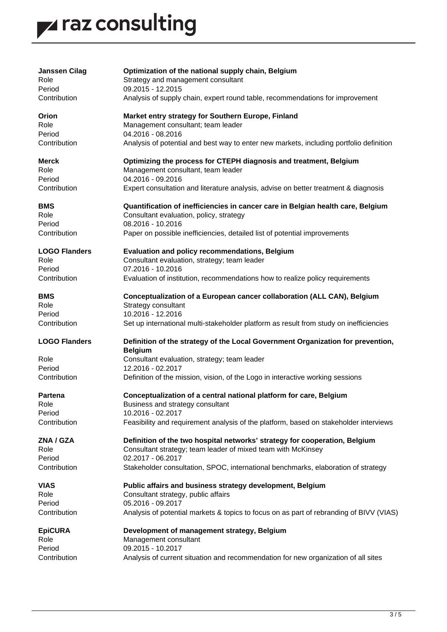# z raz consulting

| <b>Janssen Cilag</b> | Optimization of the national supply chain, Belgium                                                |
|----------------------|---------------------------------------------------------------------------------------------------|
| Role                 | Strategy and management consultant                                                                |
| Period               | 09.2015 - 12.2015                                                                                 |
| Contribution         | Analysis of supply chain, expert round table, recommendations for improvement                     |
| Orion                | Market entry strategy for Southern Europe, Finland                                                |
| Role                 | Management consultant; team leader                                                                |
| Period               | 04.2016 - 08.2016                                                                                 |
| Contribution         | Analysis of potential and best way to enter new markets, including portfolio definition           |
| <b>Merck</b>         | Optimizing the process for CTEPH diagnosis and treatment, Belgium                                 |
| Role                 | Management consultant, team leader                                                                |
| Period               | 04.2016 - 09.2016                                                                                 |
| Contribution         | Expert consultation and literature analysis, advise on better treatment & diagnosis               |
| <b>BMS</b>           | Quantification of inefficiencies in cancer care in Belgian health care, Belgium                   |
| Role                 | Consultant evaluation, policy, strategy                                                           |
| Period               | 08.2016 - 10.2016                                                                                 |
| Contribution         | Paper on possible inefficiencies, detailed list of potential improvements                         |
| <b>LOGO Flanders</b> | Evaluation and policy recommendations, Belgium                                                    |
| Role                 | Consultant evaluation, strategy; team leader                                                      |
| Period               | 07.2016 - 10.2016                                                                                 |
| Contribution         | Evaluation of institution, recommendations how to realize policy requirements                     |
| <b>BMS</b>           | Conceptualization of a European cancer collaboration (ALL CAN), Belgium                           |
| Role                 | Strategy consultant                                                                               |
| Period               | 10.2016 - 12.2016                                                                                 |
| Contribution         | Set up international multi-stakeholder platform as result from study on inefficiencies            |
| <b>LOGO Flanders</b> | Definition of the strategy of the Local Government Organization for prevention,<br><b>Belgium</b> |
| Role                 | Consultant evaluation, strategy; team leader                                                      |
| Period               | 12.2016 - 02.2017                                                                                 |
| Contribution         | Definition of the mission, vision, of the Logo in interactive working sessions                    |
| <b>Partena</b>       | Conceptualization of a central national platform for care, Belgium                                |
| Role                 | Business and strategy consultant                                                                  |
| Period               | 10.2016 - 02.2017                                                                                 |
| Contribution         | Feasibility and requirement analysis of the platform, based on stakeholder interviews             |
| ZNA / GZA            | Definition of the two hospital networks' strategy for cooperation, Belgium                        |
| Role                 | Consultant strategy; team leader of mixed team with McKinsey                                      |
| Period               | 02.2017 - 06.2017                                                                                 |
| Contribution         | Stakeholder consultation, SPOC, international benchmarks, elaboration of strategy                 |
| <b>VIAS</b>          | Public affairs and business strategy development, Belgium                                         |
| Role                 | Consultant strategy, public affairs                                                               |
| Period               | 05.2016 - 09.2017                                                                                 |
| Contribution         | Analysis of potential markets & topics to focus on as part of rebranding of BIVV (VIAS)           |
| <b>EpiCURA</b>       | Development of management strategy, Belgium                                                       |
| Role                 | Management consultant                                                                             |
| Period               | 09.2015 - 10.2017                                                                                 |
| Contribution         | Analysis of current situation and recommendation for new organization of all sites                |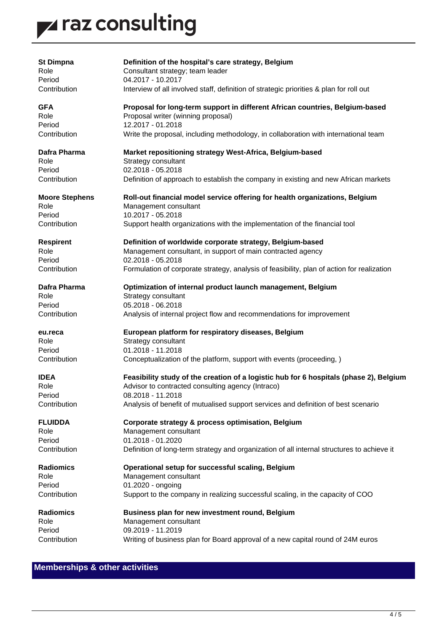## z raz consulting

| <b>St Dimpna</b>      | Definition of the hospital's care strategy, Belgium                                        |
|-----------------------|--------------------------------------------------------------------------------------------|
| Role                  | Consultant strategy; team leader                                                           |
| Period                | 04.2017 - 10.2017                                                                          |
| Contribution          | Interview of all involved staff, definition of strategic priorities & plan for roll out    |
| <b>GFA</b>            | Proposal for long-term support in different African countries, Belgium-based               |
| Role                  | Proposal writer (winning proposal)                                                         |
| Period                | 12.2017 - 01.2018                                                                          |
| Contribution          | Write the proposal, including methodology, in collaboration with international team        |
|                       |                                                                                            |
| Dafra Pharma          | Market repositioning strategy West-Africa, Belgium-based                                   |
| Role                  | Strategy consultant                                                                        |
| Period                | 02.2018 - 05.2018                                                                          |
| Contribution          | Definition of approach to establish the company in existing and new African markets        |
|                       |                                                                                            |
| <b>Moore Stephens</b> | Roll-out financial model service offering for health organizations, Belgium                |
| Role                  | Management consultant                                                                      |
| Period                | 10.2017 - 05.2018                                                                          |
| Contribution          | Support health organizations with the implementation of the financial tool                 |
| <b>Respirent</b>      | Definition of worldwide corporate strategy, Belgium-based                                  |
| Role                  | Management consultant, in support of main contracted agency                                |
| Period                | 02.2018 - 05.2018                                                                          |
| Contribution          | Formulation of corporate strategy, analysis of feasibility, plan of action for realization |
| Dafra Pharma          | Optimization of internal product launch management, Belgium                                |
| Role                  | Strategy consultant                                                                        |
| Period                | 05.2018 - 06.2018                                                                          |
| Contribution          | Analysis of internal project flow and recommendations for improvement                      |
| eu.reca               | European platform for respiratory diseases, Belgium                                        |
| Role                  | Strategy consultant                                                                        |
| Period                | 01.2018 - 11.2018                                                                          |
| Contribution          | Conceptualization of the platform, support with events (proceeding, )                      |
| <b>IDEA</b>           | Feasibility study of the creation of a logistic hub for 6 hospitals (phase 2), Belgium     |
| Role                  | Advisor to contracted consulting agency (Intraco)                                          |
| Period                | 08.2018 - 11.2018                                                                          |
| Contribution          | Analysis of benefit of mutualised support services and definition of best scenario         |
| <b>FLUIDDA</b>        | Corporate strategy & process optimisation, Belgium                                         |
| Role                  | Management consultant                                                                      |
| Period                | 01.2018 - 01.2020                                                                          |
| Contribution          | Definition of long-term strategy and organization of all internal structures to achieve it |
| <b>Radiomics</b>      | Operational setup for successful scaling, Belgium                                          |
| Role                  | Management consultant                                                                      |
| Period                | 01.2020 - ongoing                                                                          |
| Contribution          | Support to the company in realizing successful scaling, in the capacity of COO             |
| <b>Radiomics</b>      | Business plan for new investment round, Belgium                                            |
| Role                  | Management consultant                                                                      |
| Period                | 09.2019 - 11.2019                                                                          |
| Contribution          | Writing of business plan for Board approval of a new capital round of 24M euros            |

## **Memberships & other activities**